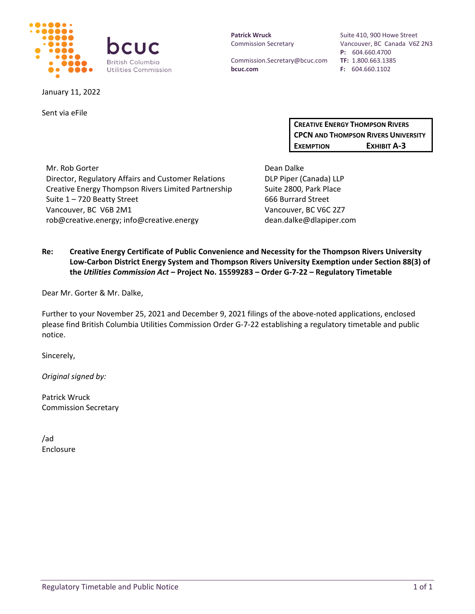

January 11, 2022

Sent via eFile

**Patrick Wruck** Commission Secretary

Commission.Secretary@bcuc.com **bcuc.com**

Suite 410, 900 Howe Street Vancouver, BC Canada V6Z 2N3 **P:** 604.660.4700 **TF:** 1.800.663.1385 **F:** 604.660.1102

**CREATIVE ENERGY THOMPSON RIVERS CPCN AND THOMPSON RIVERS UNIVERSITY EXEMPTION EXHIBIT A-3**

Mr. Rob Gorter Director, Regulatory Affairs and Customer Relations Creative Energy Thompson Rivers Limited Partnership Suite 1 – 720 Beatty Street Vancouver, BC V6B 2M1 rob@creative.energy; info@creative.energy

Dean Dalke DLP Piper (Canada) LLP Suite 2800, Park Place 666 Burrard Street Vancouver, BC V6C 2Z7 dean.dalke@dlapiper.com

#### **Re: Creative Energy Certificate of Public Convenience and Necessity for the Thompson Rivers University Low-Carbon District Energy System and Thompson Rivers University Exemption under Section 88(3) of the** *Utilities Commission Act* **– Project No. 15599283 – Order G-7-22 – Regulatory Timetable**

Dear Mr. Gorter & Mr. Dalke,

Further to your November 25, 2021 and December 9, 2021 filings of the above-noted applications, enclosed please find British Columbia Utilities Commission Order G-7-22 establishing a regulatory timetable and public notice.

Sincerely,

*Original signed by:*

Patrick Wruck Commission Secretary

/ad Enclosure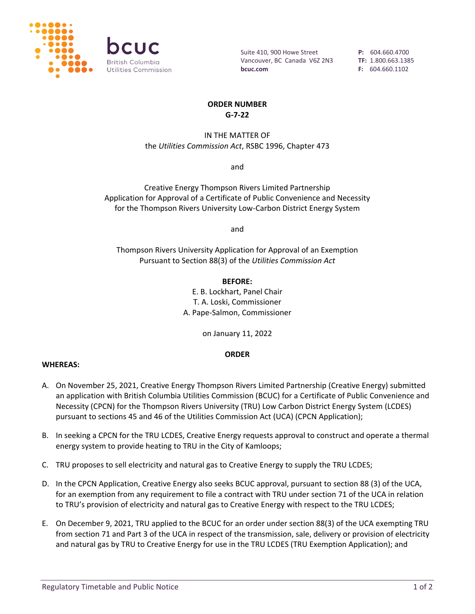

Suite 410, 900 Howe Street Vancouver, BC Canada V6Z 2N3 **bcuc.com**

**P:** 604.660.4700 **TF:** 1.800.663.1385 **F:** 604.660.1102

#### **ORDER NUMBER G-7-22**

#### IN THE MATTER OF the *Utilities Commission Act*, RSBC 1996, Chapter 473

and

Creative Energy Thompson Rivers Limited Partnership Application for Approval of a Certificate of Public Convenience and Necessity for the Thompson Rivers University Low-Carbon District Energy System

and

Thompson Rivers University Application for Approval of an Exemption Pursuant to Section 88(3) of the *Utilities Commission Act*

#### **BEFORE:**

E. B. Lockhart, Panel Chair T. A. Loski, Commissioner A. Pape-Salmon, Commissioner

on January 11, 2022

#### **ORDER**

#### **WHEREAS:**

- A. On November 25, 2021, Creative Energy Thompson Rivers Limited Partnership (Creative Energy) submitted an application with British Columbia Utilities Commission (BCUC) for a Certificate of Public Convenience and Necessity (CPCN) for the Thompson Rivers University (TRU) Low Carbon District Energy System (LCDES) pursuant to sections 45 and 46 of the Utilities Commission Act (UCA) (CPCN Application);
- B. In seeking a CPCN for the TRU LCDES, Creative Energy requests approval to construct and operate a thermal energy system to provide heating to TRU in the City of Kamloops;
- C. TRU proposes to sell electricity and natural gas to Creative Energy to supply the TRU LCDES;
- D. In the CPCN Application, Creative Energy also seeks BCUC approval, pursuant to section 88 (3) of the UCA, for an exemption from any requirement to file a contract with TRU under section 71 of the UCA in relation to TRU's provision of electricity and natural gas to Creative Energy with respect to the TRU LCDES;
- E. On December 9, 2021, TRU applied to the BCUC for an order under section 88(3) of the UCA exempting TRU from section 71 and Part 3 of the UCA in respect of the transmission, sale, delivery or provision of electricity and natural gas by TRU to Creative Energy for use in the TRU LCDES (TRU Exemption Application); and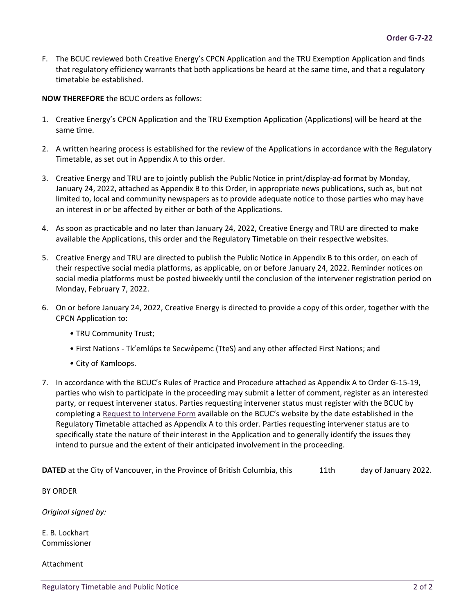F. The BCUC reviewed both Creative Energy's CPCN Application and the TRU Exemption Application and finds that regulatory efficiency warrants that both applications be heard at the same time, and that a regulatory timetable be established.

**NOW THEREFORE** the BCUC orders as follows:

- 1. Creative Energy's CPCN Application and the TRU Exemption Application (Applications) will be heard at the same time.
- 2. A written hearing process is established for the review of the Applications in accordance with the Regulatory Timetable, as set out in Appendix A to this order.
- 3. Creative Energy and TRU are to jointly publish the Public Notice in print/display-ad format by Monday, January 24, 2022, attached as Appendix B to this Order, in appropriate news publications, such as, but not limited to, local and community newspapers as to provide adequate notice to those parties who may have an interest in or be affected by either or both of the Applications.
- 4. As soon as practicable and no later than January 24, 2022, Creative Energy and TRU are directed to make available the Applications, this order and the Regulatory Timetable on their respective websites.
- 5. Creative Energy and TRU are directed to publish the Public Notice in Appendix B to this order, on each of their respective social media platforms, as applicable, on or before January 24, 2022. Reminder notices on social media platforms must be posted biweekly until the conclusion of the intervener registration period on Monday, February 7, 2022.
- 6. On or before January 24, 2022, Creative Energy is directed to provide a copy of this order, together with the CPCN Application to:
	- TRU Community Trust;
	- First Nations Tk'emlúps te Secwe̓pemc (TteS) and any other affected First Nations; and
	- City of Kamloops.
- 7. In accordance with the BCUC's Rules of Practice and Procedure attached as Appendix A to Order G-15-19, parties who wish to participate in the proceeding may submit a letter of comment, register as an interested party, or request intervener status. Parties requesting intervener status must register with the BCUC by completing a [Request to Intervene Form](https://www.bcuc.com/Forms/RequestToIntervene) available on the BCUC's website by the date established in the Regulatory Timetable attached as Appendix A to this order. Parties requesting intervener status are to specifically state the nature of their interest in the Application and to generally identify the issues they intend to pursue and the extent of their anticipated involvement in the proceeding.

**DATED** at the City of Vancouver, in the Province of British Columbia, this 11th day of January 2022.

BY ORDER

*Original signed by:*

E. B. Lockhart Commissioner

#### Attachment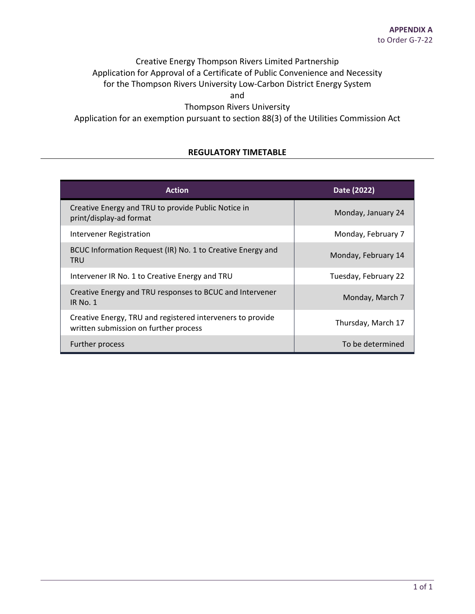# Creative Energy Thompson Rivers Limited Partnership Application for Approval of a Certificate of Public Convenience and Necessity for the Thompson Rivers University Low-Carbon District Energy System

and

Thompson Rivers University

Application for an exemption pursuant to section 88(3) of the Utilities Commission Act

#### **REGULATORY TIMETABLE**

| <b>Action</b>                                                                                       | Date (2022)          |
|-----------------------------------------------------------------------------------------------------|----------------------|
| Creative Energy and TRU to provide Public Notice in<br>print/display-ad format                      | Monday, January 24   |
| <b>Intervener Registration</b>                                                                      | Monday, February 7   |
| BCUC Information Request (IR) No. 1 to Creative Energy and<br><b>TRU</b>                            | Monday, February 14  |
| Intervener IR No. 1 to Creative Energy and TRU                                                      | Tuesday, February 22 |
| Creative Energy and TRU responses to BCUC and Intervener<br><b>IR No. 1</b>                         | Monday, March 7      |
| Creative Energy, TRU and registered interveners to provide<br>written submission on further process | Thursday, March 17   |
| Further process                                                                                     | To be determined     |